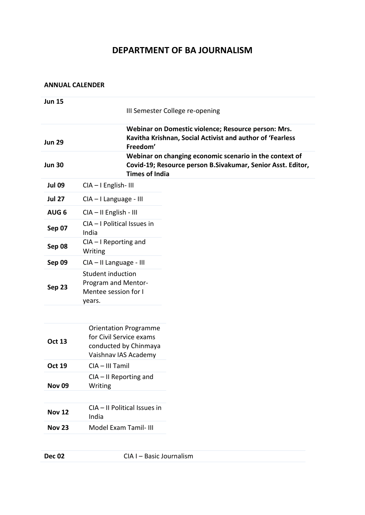## **DEPARTMENT OF BA JOURNALISM**

## **ANNUAL CALENDER**

| <b>Jun 15</b>    |                                                                                                          | III Semester College re-opening                                                                                        |  |
|------------------|----------------------------------------------------------------------------------------------------------|------------------------------------------------------------------------------------------------------------------------|--|
| <b>Jun 29</b>    | Freedom'                                                                                                 | Webinar on Domestic violence; Resource person: Mrs.<br>Kavitha Krishnan, Social Activist and author of 'Fearless       |  |
| <b>Jun 30</b>    | <b>Times of India</b>                                                                                    | Webinar on changing economic scenario in the context of<br>Covid-19; Resource person B.Sivakumar, Senior Asst. Editor, |  |
| <b>Jul 09</b>    | $CIA - I$ English-III                                                                                    |                                                                                                                        |  |
| <b>Jul 27</b>    | CIA - I Language - III                                                                                   |                                                                                                                        |  |
| AUG <sub>6</sub> | $CIA - II$ English - III                                                                                 |                                                                                                                        |  |
| Sep 07           | CIA - I Political Issues in<br>India                                                                     |                                                                                                                        |  |
| Sep 08           | CIA-I Reporting and<br>Writing                                                                           |                                                                                                                        |  |
| Sep 09           | CIA - II Language - III                                                                                  |                                                                                                                        |  |
| Sep 23           | Student induction<br>Program and Mentor-<br>Mentee session for I<br>years.                               |                                                                                                                        |  |
|                  |                                                                                                          |                                                                                                                        |  |
| <b>Oct 13</b>    | <b>Orientation Programme</b><br>for Civil Service exams<br>conducted by Chinmaya<br>Vaishnav IAS Academy |                                                                                                                        |  |
| <b>Oct 19</b>    | CIA - III Tamil                                                                                          |                                                                                                                        |  |
| <b>Nov 09</b>    | CIA - II Reporting and<br>Writing                                                                        |                                                                                                                        |  |
|                  |                                                                                                          |                                                                                                                        |  |
| <b>Nov 12</b>    | CIA - II Political Issues in<br>India                                                                    |                                                                                                                        |  |
| <b>Nov 23</b>    | Model Exam Tamil- III                                                                                    |                                                                                                                        |  |
|                  |                                                                                                          |                                                                                                                        |  |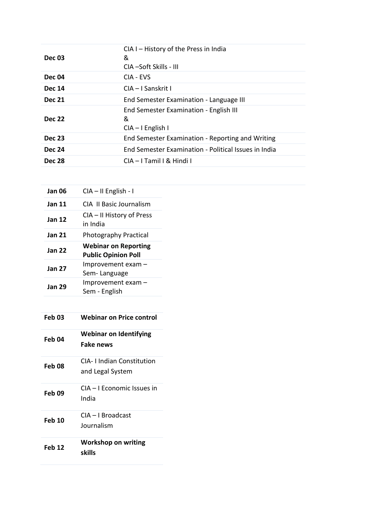| <b>Dec 03</b> | CIA I – History of the Press in India<br>&<br>CIA –Soft Skills - III |
|---------------|----------------------------------------------------------------------|
| <b>Dec 04</b> | CIA - EVS                                                            |
| <b>Dec 14</b> | CIA – I Sanskrit I                                                   |
| <b>Dec 21</b> | End Semester Examination - Language III                              |
| <b>Dec 22</b> | End Semester Examination - English III<br>&<br>$CIA - I$ English I   |
| <b>Dec 23</b> | End Semester Examination - Reporting and Writing                     |
| <b>Dec 24</b> | End Semester Examination - Political Issues in India                 |
| <b>Dec 28</b> | $CIA - I$ Tamil $I$ & Hindi I                                        |

| <b>Jan 06</b>     | CIA - II English - I                                      |
|-------------------|-----------------------------------------------------------|
| <b>Jan 11</b>     | <b>CIA II Basic Journalism</b>                            |
| <b>Jan 12</b>     | CIA - II History of Press<br>in India                     |
| <b>Jan 21</b>     | Photography Practical                                     |
| <b>Jan 22</b>     | <b>Webinar on Reporting</b><br><b>Public Opinion Poll</b> |
| <b>Jan 27</b>     | Improvement exam -<br>Sem-Language                        |
| <b>Jan 29</b>     | Improvement exam -<br>Sem - English                       |
|                   |                                                           |
| <b>Feb 03</b>     | <b>Webinar on Price control</b>                           |
|                   |                                                           |
| Feb 04            | <b>Webinar on Identifying</b><br><b>Fake news</b>         |
| Feb <sub>08</sub> | <b>CIA-I Indian Constitution</b><br>and Legal System      |
| Feb 09            | CIA - I Economic Issues in<br>India                       |
| <b>Feb 10</b>     | CIA-I Broadcast<br>Journalism                             |